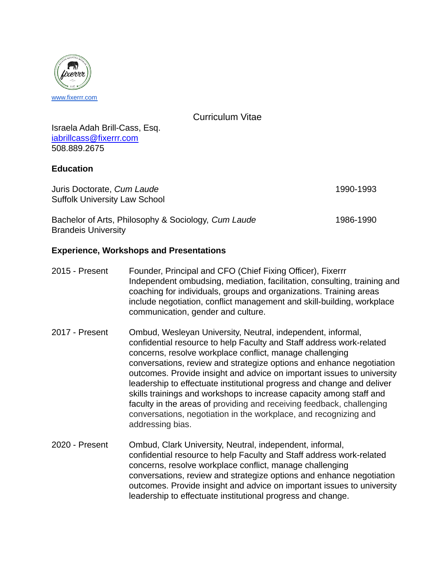

Curriculum Vitae

Israela Adah Brill-Cass, Esq. [iabrillcass@fixerrr.com](mailto:iabrillcass@gmail.com) 508.889.2675

### **Education**

Juris Doctorate, *Cum Laude* 1990-1993 Suffolk University Law School

| Bachelor of Arts, Philosophy & Sociology, Cum Laude | 1986-1990 |
|-----------------------------------------------------|-----------|
| <b>Brandeis University</b>                          |           |

## **Experience, Workshops and Presentations**

- 2015 Present Founder, Principal and CFO (Chief Fixing Officer), Fixerrr Independent ombudsing, mediation, facilitation, consulting, training and coaching for individuals, groups and organizations. Training areas include negotiation, conflict management and skill-building, workplace communication, gender and culture.
- 2017 Present Ombud, Wesleyan University, Neutral, independent, informal, confidential resource to help Faculty and Staff address work-related concerns, resolve workplace conflict, manage challenging conversations, review and strategize options and enhance negotiation outcomes. Provide insight and advice on important issues to university leadership to effectuate institutional progress and change and deliver skills trainings and workshops to increase capacity among staff and faculty in the areas of providing and receiving feedback, challenging conversations, negotiation in the workplace, and recognizing and addressing bias.
- 2020 Present Ombud, Clark University, Neutral, independent, informal, confidential resource to help Faculty and Staff address work-related concerns, resolve workplace conflict, manage challenging conversations, review and strategize options and enhance negotiation outcomes. Provide insight and advice on important issues to university leadership to effectuate institutional progress and change.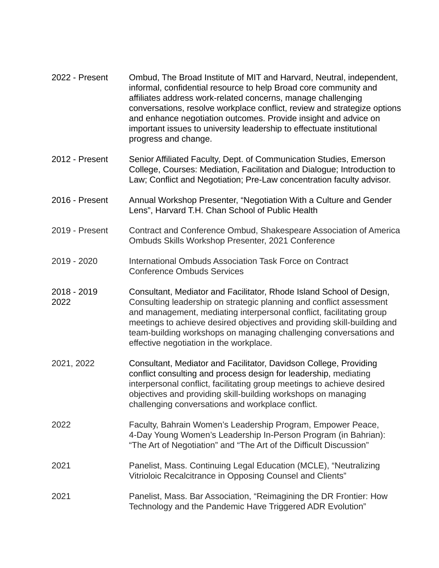| 2022 - Present      | Ombud, The Broad Institute of MIT and Harvard, Neutral, independent,<br>informal, confidential resource to help Broad core community and<br>affiliates address work-related concerns, manage challenging<br>conversations, resolve workplace conflict, review and strategize options<br>and enhance negotiation outcomes. Provide insight and advice on<br>important issues to university leadership to effectuate institutional<br>progress and change. |
|---------------------|----------------------------------------------------------------------------------------------------------------------------------------------------------------------------------------------------------------------------------------------------------------------------------------------------------------------------------------------------------------------------------------------------------------------------------------------------------|
| 2012 - Present      | Senior Affiliated Faculty, Dept. of Communication Studies, Emerson<br>College, Courses: Mediation, Facilitation and Dialogue; Introduction to<br>Law; Conflict and Negotiation; Pre-Law concentration faculty advisor.                                                                                                                                                                                                                                   |
| 2016 - Present      | Annual Workshop Presenter, "Negotiation With a Culture and Gender<br>Lens", Harvard T.H. Chan School of Public Health                                                                                                                                                                                                                                                                                                                                    |
| 2019 - Present      | Contract and Conference Ombud, Shakespeare Association of America<br>Ombuds Skills Workshop Presenter, 2021 Conference                                                                                                                                                                                                                                                                                                                                   |
| 2019 - 2020         | International Ombuds Association Task Force on Contract<br><b>Conference Ombuds Services</b>                                                                                                                                                                                                                                                                                                                                                             |
| 2018 - 2019<br>2022 | Consultant, Mediator and Facilitator, Rhode Island School of Design,<br>Consulting leadership on strategic planning and conflict assessment<br>and management, mediating interpersonal conflict, facilitating group<br>meetings to achieve desired objectives and providing skill-building and<br>team-building workshops on managing challenging conversations and<br>effective negotiation in the workplace.                                           |
| 2021, 2022          | Consultant, Mediator and Facilitator, Davidson College, Providing<br>conflict consulting and process design for leadership, mediating<br>interpersonal conflict, facilitating group meetings to achieve desired<br>objectives and providing skill-building workshops on managing<br>challenging conversations and workplace conflict.                                                                                                                    |
| 2022                | Faculty, Bahrain Women's Leadership Program, Empower Peace,<br>4-Day Young Women's Leadership In-Person Program (in Bahrian):<br>"The Art of Negotiation" and "The Art of the Difficult Discussion"                                                                                                                                                                                                                                                      |
| 2021                | Panelist, Mass. Continuing Legal Education (MCLE), "Neutralizing<br>Vitrioloic Recalcitrance in Opposing Counsel and Clients"                                                                                                                                                                                                                                                                                                                            |
| 2021                | Panelist, Mass. Bar Association, "Reimagining the DR Frontier: How<br>Technology and the Pandemic Have Triggered ADR Evolution"                                                                                                                                                                                                                                                                                                                          |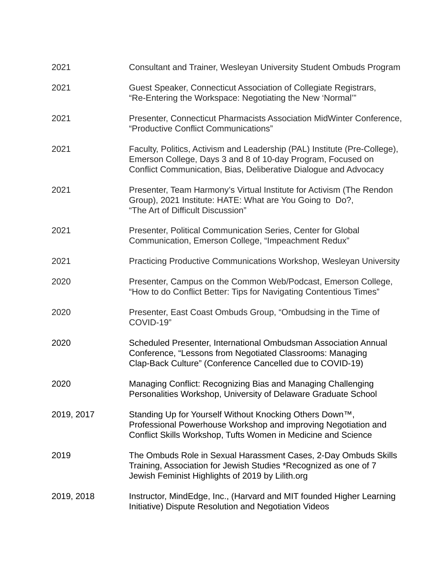| 2021       | Consultant and Trainer, Wesleyan University Student Ombuds Program                                                                                                                                           |
|------------|--------------------------------------------------------------------------------------------------------------------------------------------------------------------------------------------------------------|
| 2021       | Guest Speaker, Connecticut Association of Collegiate Registrars,<br>"Re-Entering the Workspace: Negotiating the New 'Normal"                                                                                 |
| 2021       | Presenter, Connecticut Pharmacists Association MidWinter Conference,<br>"Productive Conflict Communications"                                                                                                 |
| 2021       | Faculty, Politics, Activism and Leadership (PAL) Institute (Pre-College),<br>Emerson College, Days 3 and 8 of 10-day Program, Focused on<br>Conflict Communication, Bias, Deliberative Dialogue and Advocacy |
| 2021       | Presenter, Team Harmony's Virtual Institute for Activism (The Rendon<br>Group), 2021 Institute: HATE: What are You Going to Do?,<br>"The Art of Difficult Discussion"                                        |
| 2021       | Presenter, Political Communication Series, Center for Global<br>Communication, Emerson College, "Impeachment Redux"                                                                                          |
| 2021       | Practicing Productive Communications Workshop, Wesleyan University                                                                                                                                           |
| 2020       | Presenter, Campus on the Common Web/Podcast, Emerson College,<br>"How to do Conflict Better: Tips for Navigating Contentious Times"                                                                          |
| 2020       | Presenter, East Coast Ombuds Group, "Ombudsing in the Time of<br>COVID-19"                                                                                                                                   |
| 2020       | Scheduled Presenter, International Ombudsman Association Annual<br>Conference, "Lessons from Negotiated Classrooms: Managing<br>Clap-Back Culture" (Conference Cancelled due to COVID-19)                    |
| 2020       | Managing Conflict: Recognizing Bias and Managing Challenging<br>Personalities Workshop, University of Delaware Graduate School                                                                               |
| 2019, 2017 | Standing Up for Yourself Without Knocking Others Down™,<br>Professional Powerhouse Workshop and improving Negotiation and<br>Conflict Skills Workshop, Tufts Women in Medicine and Science                   |
| 2019       | The Ombuds Role in Sexual Harassment Cases, 2-Day Ombuds Skills<br>Training, Association for Jewish Studies *Recognized as one of 7<br>Jewish Feminist Highlights of 2019 by Lilith.org                      |
| 2019, 2018 | Instructor, MindEdge, Inc., (Harvard and MIT founded Higher Learning<br>Initiative) Dispute Resolution and Negotiation Videos                                                                                |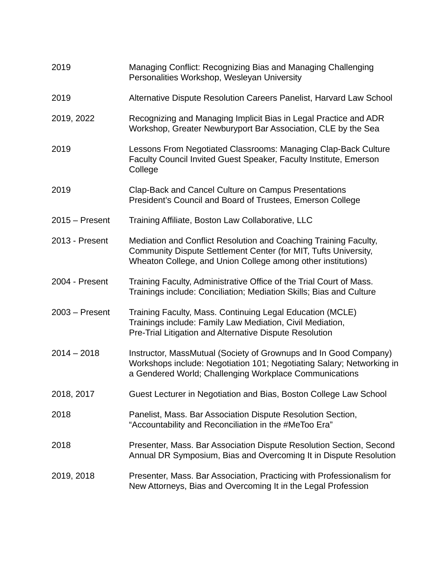| 2019             | Managing Conflict: Recognizing Bias and Managing Challenging<br>Personalities Workshop, Wesleyan University                                                                                         |
|------------------|-----------------------------------------------------------------------------------------------------------------------------------------------------------------------------------------------------|
| 2019             | Alternative Dispute Resolution Careers Panelist, Harvard Law School                                                                                                                                 |
| 2019, 2022       | Recognizing and Managing Implicit Bias in Legal Practice and ADR<br>Workshop, Greater Newburyport Bar Association, CLE by the Sea                                                                   |
| 2019             | Lessons From Negotiated Classrooms: Managing Clap-Back Culture<br>Faculty Council Invited Guest Speaker, Faculty Institute, Emerson<br>College                                                      |
| 2019             | Clap-Back and Cancel Culture on Campus Presentations<br>President's Council and Board of Trustees, Emerson College                                                                                  |
| $2015 -$ Present | Training Affiliate, Boston Law Collaborative, LLC                                                                                                                                                   |
| 2013 - Present   | Mediation and Conflict Resolution and Coaching Training Faculty,<br>Community Dispute Settlement Center (for MIT, Tufts University,<br>Wheaton College, and Union College among other institutions) |
| 2004 - Present   | Training Faculty, Administrative Office of the Trial Court of Mass.<br>Trainings include: Conciliation; Mediation Skills; Bias and Culture                                                          |
| $2003 -$ Present | Training Faculty, Mass. Continuing Legal Education (MCLE)<br>Trainings include: Family Law Mediation, Civil Mediation,<br>Pre-Trial Litigation and Alternative Dispute Resolution                   |
| $2014 - 2018$    | Instructor, MassMutual (Society of Grownups and In Good Company)<br>Workshops include: Negotiation 101; Negotiating Salary; Networking in<br>a Gendered World; Challenging Workplace Communications |
| 2018, 2017       | Guest Lecturer in Negotiation and Bias, Boston College Law School                                                                                                                                   |
| 2018             | Panelist, Mass. Bar Association Dispute Resolution Section,<br>"Accountability and Reconciliation in the #MeToo Era"                                                                                |
| 2018             | Presenter, Mass. Bar Association Dispute Resolution Section, Second<br>Annual DR Symposium, Bias and Overcoming It in Dispute Resolution                                                            |
| 2019, 2018       | Presenter, Mass. Bar Association, Practicing with Professionalism for<br>New Attorneys, Bias and Overcoming It in the Legal Profession                                                              |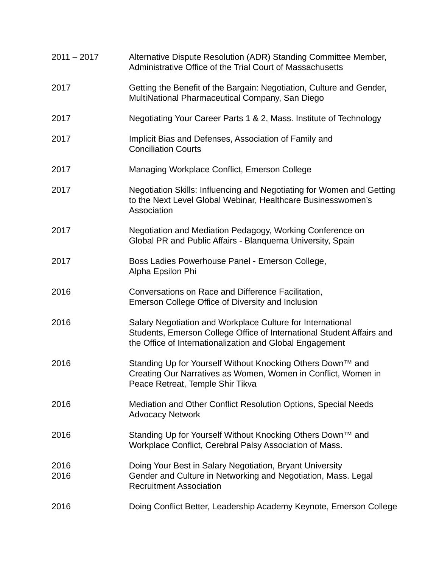| $2011 - 2017$ | Alternative Dispute Resolution (ADR) Standing Committee Member,<br>Administrative Office of the Trial Court of Massachusetts                                                                    |
|---------------|-------------------------------------------------------------------------------------------------------------------------------------------------------------------------------------------------|
| 2017          | Getting the Benefit of the Bargain: Negotiation, Culture and Gender,<br>MultiNational Pharmaceutical Company, San Diego                                                                         |
| 2017          | Negotiating Your Career Parts 1 & 2, Mass. Institute of Technology                                                                                                                              |
| 2017          | Implicit Bias and Defenses, Association of Family and<br><b>Conciliation Courts</b>                                                                                                             |
| 2017          | Managing Workplace Conflict, Emerson College                                                                                                                                                    |
| 2017          | Negotiation Skills: Influencing and Negotiating for Women and Getting<br>to the Next Level Global Webinar, Healthcare Businesswomen's<br>Association                                            |
| 2017          | Negotiation and Mediation Pedagogy, Working Conference on<br>Global PR and Public Affairs - Blanquerna University, Spain                                                                        |
| 2017          | Boss Ladies Powerhouse Panel - Emerson College,<br>Alpha Epsilon Phi                                                                                                                            |
| 2016          | Conversations on Race and Difference Facilitation,<br>Emerson College Office of Diversity and Inclusion                                                                                         |
| 2016          | Salary Negotiation and Workplace Culture for International<br>Students, Emerson College Office of International Student Affairs and<br>the Office of Internationalization and Global Engagement |
| 2016          | Standing Up for Yourself Without Knocking Others Down™ and<br>Creating Our Narratives as Women, Women in Conflict, Women in<br>Peace Retreat, Temple Shir Tikva                                 |
| 2016          | Mediation and Other Conflict Resolution Options, Special Needs<br><b>Advocacy Network</b>                                                                                                       |
| 2016          | Standing Up for Yourself Without Knocking Others Down™ and<br>Workplace Conflict, Cerebral Palsy Association of Mass.                                                                           |
| 2016<br>2016  | Doing Your Best in Salary Negotiation, Bryant University<br>Gender and Culture in Networking and Negotiation, Mass. Legal<br><b>Recruitment Association</b>                                     |
| 2016          | Doing Conflict Better, Leadership Academy Keynote, Emerson College                                                                                                                              |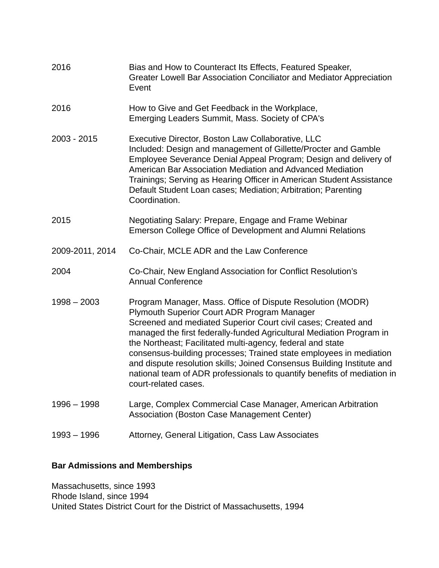| 2016            | Bias and How to Counteract Its Effects, Featured Speaker,<br>Greater Lowell Bar Association Conciliator and Mediator Appreciation<br>Event                                                                                                                                                                                                                                                                                                                                                                                                                          |
|-----------------|---------------------------------------------------------------------------------------------------------------------------------------------------------------------------------------------------------------------------------------------------------------------------------------------------------------------------------------------------------------------------------------------------------------------------------------------------------------------------------------------------------------------------------------------------------------------|
| 2016            | How to Give and Get Feedback in the Workplace,<br>Emerging Leaders Summit, Mass. Society of CPA's                                                                                                                                                                                                                                                                                                                                                                                                                                                                   |
| 2003 - 2015     | Executive Director, Boston Law Collaborative, LLC<br>Included: Design and management of Gillette/Procter and Gamble<br>Employee Severance Denial Appeal Program; Design and delivery of<br>American Bar Association Mediation and Advanced Mediation<br>Trainings; Serving as Hearing Officer in American Student Assistance<br>Default Student Loan cases; Mediation; Arbitration; Parenting<br>Coordination.                                                                                                                                                      |
| 2015            | Negotiating Salary: Prepare, Engage and Frame Webinar<br>Emerson College Office of Development and Alumni Relations                                                                                                                                                                                                                                                                                                                                                                                                                                                 |
| 2009-2011, 2014 | Co-Chair, MCLE ADR and the Law Conference                                                                                                                                                                                                                                                                                                                                                                                                                                                                                                                           |
| 2004            | Co-Chair, New England Association for Conflict Resolution's<br><b>Annual Conference</b>                                                                                                                                                                                                                                                                                                                                                                                                                                                                             |
| $1998 - 2003$   | Program Manager, Mass. Office of Dispute Resolution (MODR)<br>Plymouth Superior Court ADR Program Manager<br>Screened and mediated Superior Court civil cases; Created and<br>managed the first federally-funded Agricultural Mediation Program in<br>the Northeast; Facilitated multi-agency, federal and state<br>consensus-building processes; Trained state employees in mediation<br>and dispute resolution skills; Joined Consensus Building Institute and<br>national team of ADR professionals to quantify benefits of mediation in<br>court-related cases. |
| $1996 - 1998$   | Large, Complex Commercial Case Manager, American Arbitration<br><b>Association (Boston Case Management Center)</b>                                                                                                                                                                                                                                                                                                                                                                                                                                                  |
| $1993 - 1996$   | Attorney, General Litigation, Cass Law Associates                                                                                                                                                                                                                                                                                                                                                                                                                                                                                                                   |

# **Bar Admissions and Memberships**

Massachusetts, since 1993 Rhode Island, since 1994 United States District Court for the District of Massachusetts, 1994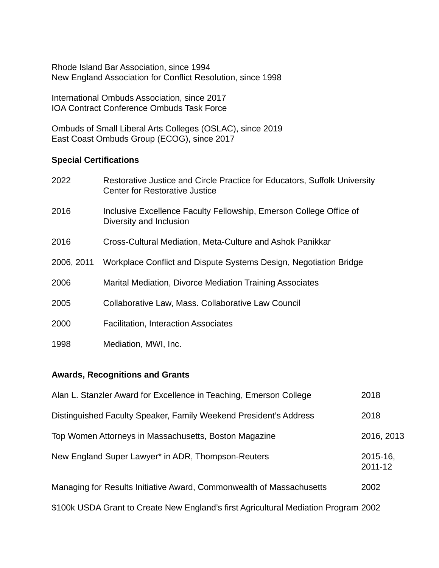Rhode Island Bar Association, since 1994 New England Association for Conflict Resolution, since 1998

International Ombuds Association, since 2017 IOA Contract Conference Ombuds Task Force

Ombuds of Small Liberal Arts Colleges (OSLAC), since 2019 East Coast Ombuds Group (ECOG), since 2017

## **Special Certifications**

| 2022       | Restorative Justice and Circle Practice for Educators, Suffolk University<br>Center for Restorative Justice |
|------------|-------------------------------------------------------------------------------------------------------------|
| 2016       | Inclusive Excellence Faculty Fellowship, Emerson College Office of<br>Diversity and Inclusion               |
| 2016       | Cross-Cultural Mediation, Meta-Culture and Ashok Panikkar                                                   |
| 2006, 2011 | Workplace Conflict and Dispute Systems Design, Negotiation Bridge                                           |
| 2006       | <b>Marital Mediation, Divorce Mediation Training Associates</b>                                             |
| 2005       | Collaborative Law, Mass. Collaborative Law Council                                                          |
| 2000       | <b>Facilitation, Interaction Associates</b>                                                                 |
| 1998       | Mediation, MWI, Inc.                                                                                        |

## **Awards, Recognitions and Grants**

| Alan L. Stanzler Award for Excellence in Teaching, Emerson College                  | 2018                |
|-------------------------------------------------------------------------------------|---------------------|
| Distinguished Faculty Speaker, Family Weekend President's Address                   | 2018                |
| Top Women Attorneys in Massachusetts, Boston Magazine                               | 2016, 2013          |
| New England Super Lawyer* in ADR, Thompson-Reuters                                  | 2015-16,<br>2011-12 |
| Managing for Results Initiative Award, Commonwealth of Massachusetts                | 2002                |
| \$100k USDA Grant to Create New England's first Agricultural Mediation Program 2002 |                     |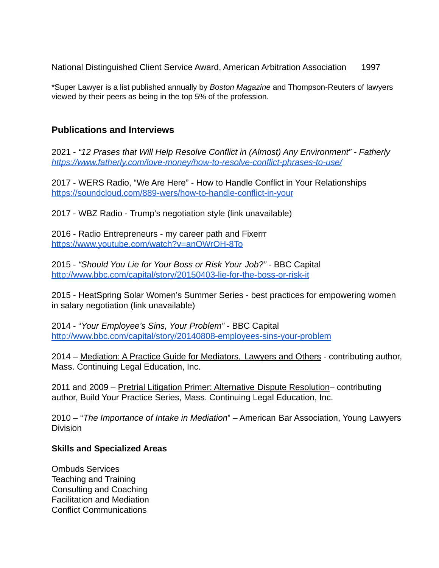National Distinguished Client Service Award, American Arbitration Association 1997

\*Super Lawyer is a list published annually by *Boston Magazine* and Thompson-Reuters of lawyers viewed by their peers as being in the top 5% of the profession.

# **Publications and Interviews**

2021 - *"12 Prases that Will Help Resolve Conflict in (Almost) Any Environment" - Fatherly <https://www.fatherly.com/love-money/how-to-resolve-conflict-phrases-to-use/>*

2017 - WERS Radio, "We Are Here" - How to Handle Conflict in Your Relationships <https://soundcloud.com/889-wers/how-to-handle-conflict-in-your>

2017 - WBZ Radio - Trump's negotiation style (link unavailable)

2016 - Radio Entrepreneurs - my career path and Fixerrr <https://www.youtube.com/watch?v=anOWrOH-8To>

2015 - *"Should You Lie for Your Boss or Risk Your Job?" -* BBC Capital <http://www.bbc.com/capital/story/20150403-lie-for-the-boss-or-risk-it>

2015 - HeatSpring Solar Women's Summer Series - best practices for empowering women in salary negotiation (link unavailable)

2014 - "*Your Employee's Sins, Your Problem" -* BBC Capital <http://www.bbc.com/capital/story/20140808-employees-sins-your-problem>

2014 – Mediation: A Practice Guide for Mediators, Lawyers and Others - contributing author, Mass. Continuing Legal Education, Inc.

2011 and 2009 – Pretrial Litigation Primer: Alternative Dispute Resolution– contributing author, Build Your Practice Series, Mass. Continuing Legal Education, Inc.

2010 – "*The Importance of Intake in Mediation*" – American Bar Association, Young Lawyers Division

### **Skills and Specialized Areas**

Ombuds Services Teaching and Training Consulting and Coaching Facilitation and Mediation Conflict Communications